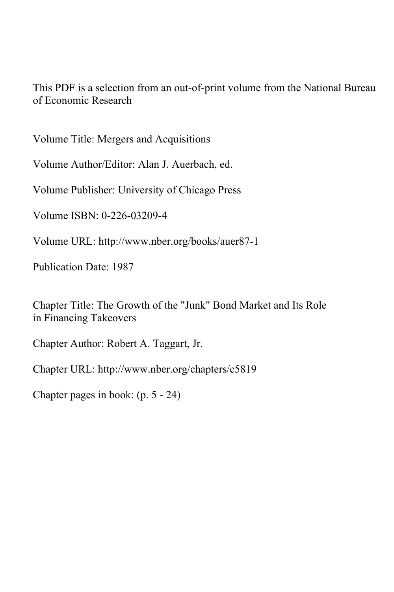This PDF is a selection from an out-of-print volume from the National Bureau of Economic Research

Volume Title: Mergers and Acquisitions

Volume Author/Editor: Alan J. Auerbach, ed.

Volume Publisher: University of Chicago Press

Volume ISBN: 0-226-03209-4

Volume URL: http://www.nber.org/books/auer87-1

Publication Date: 1987

Chapter Title: The Growth of the "Junk" Bond Market and Its Role in Financing Takeovers

Chapter Author: Robert A. Taggart, Jr.

Chapter URL: http://www.nber.org/chapters/c5819

Chapter pages in book: (p. 5 - 24)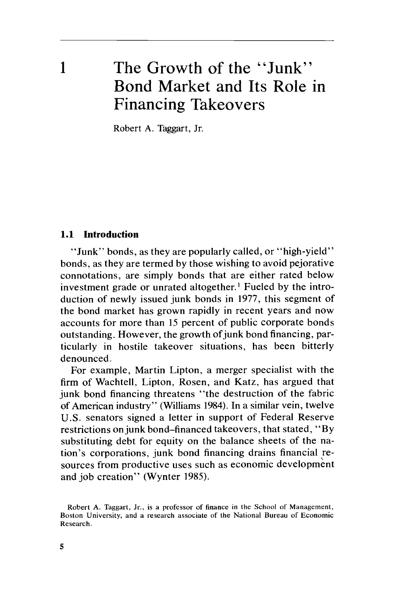# 1 The Growth of the "Junk" Bond Market and Its Role in Financing Takeovers

Robert **A.** Taggart, Jr.

#### **1.1 Introduction**

"Junk" bonds, as they are popularly called, or "high-yield'' bonds, as they are termed by those wishing to avoid pejorative connotations, are simply bonds that are either rated below investment grade or unrated altogether.' Fueled by the introduction of newly issued junk bonds in **1977,** this segment of the bond market has grown rapidly in recent years and now accounts for more than **15** percent of public corporate bonds outstanding. However, the growth of junk bond financing, particularly in hostile takeover situations, has been bitterly denounced.

For example, Martin Lipton, a merger specialist with the firm of Wachtell, Lipton, Rosen, and Katz, has argued that junk bond financing threatens "the destruction of the fabric of American industry" (Williams **1984).** In a similar vein, twelve **U.S.** senators signed a letter in support of Federal Reserve restrictions on junk bond-financed takeovers, that stated, "By substituting debt for equity on the balance sheets of the nation's corporations, junk bond financing drains financial resources from productive uses such as economic development and job creation" (Wynter **1985).** 

**Robert A. Taggart, Jr., is a professor** *of* **finance in the School** of **Management, Boston University, and a research associate** *of* **the National Bureau of Economic Research.**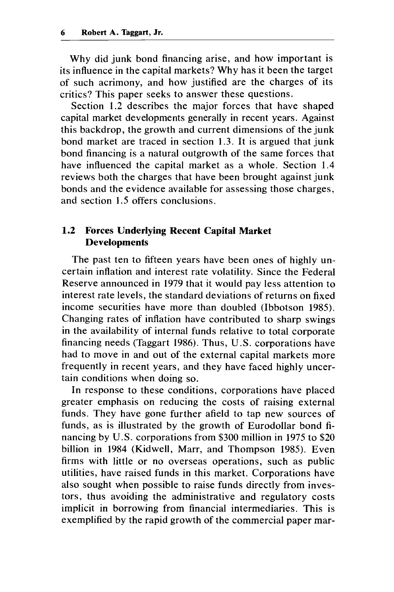Why did junk bond financing arise, and how important is its influence in the capital markets? Why has it been the target of such acrimony, and how justified are the charges of its critics? This paper seeks to answer these questions.

Section 1.2 describes the major forces that have shaped capital market developments generally in recent years. Against this backdrop, the growth and current dimensions of the junk bond market are traced in section 1.3. It is argued that junk bond financing is a natural outgrowth of the same forces that have influenced the capital market as a whole. Section 1.4 reviews both the charges that have been brought against junk bonds and the evidence available for assessing those charges, and section 1.5 offers conclusions.

# **1.2 Forces Underlying Recent Capital Market Developments**

The past ten to fifteen years have been ones of highly uncertain inflation and interest rate volatility. Since the Federal Reserve announced in 1979 that it would pay less attention to interest rate levels, the standard deviations of returns on fixed income securities have more than doubled (Ibbotson 1985). Changing rates of inflation have contributed to sharp swings in the availability of internal funds relative to total corporate financing needs (Taggart 1986). Thus, U. S. corporations have had to move in and out of the external capital markets more frequently in recent years, and they have faced highly uncertain conditions when doing so.

In response to these conditions, corporations have placed greater emphasis on reducing the costs of raising external funds. They have gone further afield to tap new sources of funds, as is illustrated by the growth of Eurodollar bond financing by **U.S.** corporations from \$300 million in 1975 to \$20 billion in 1984 (Kidwell, Marr, and Thompson 1985). Even firms with little or no overseas operations, such as public utilities, have raised funds in this market. Corporations have also sought when possible to raise funds directly from investors, thus avoiding the administrative and regulatory costs implicit in borrowing from financial intermediaries. This is exemplified by the rapid growth of the commercial paper mar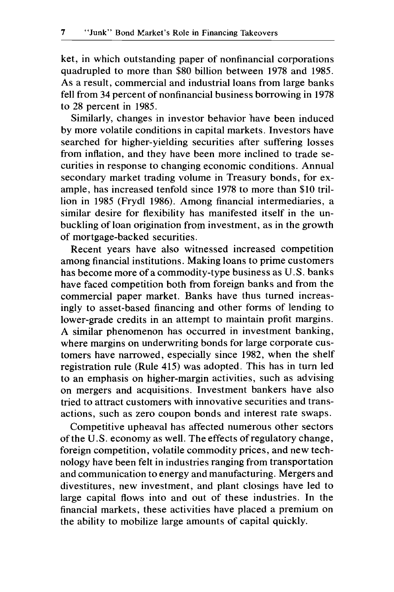ket, in which outstanding paper of nonfinancial corporations quadrupled to more than **\$80** billion between **1978** and **1985.**  As a result, commercial and industrial loans from large banks fell from **34** percent of nonfinancial business borrowing in **1978**  to **28** percent in **1985.** 

Similarly, changes in investor behavior have been induced by more volatile conditions in capital markets. Investors have searched for higher-yielding securities after suffering losses from inflation, and they have been more inclined to trade securities in response to changing economic conditions. Annual secondary market trading volume in Treasury bonds, for example, has increased tenfold since **1978** to more than **\$10** trillion in **1985** (Frydl **1986).** Among financial intermediaries, a similar desire for flexibility has manifested itself in the unbuckling of loan origination from investment, as in the growth of mortgage-backed securities.

Recent years have also witnessed increased competition among financial institutions. Making loans to prime customers has become more of a commodity-type business as U.S. banks have faced competition both from foreign banks and from the commercial paper market. Banks have thus turned increasingly to asset-based financing and other forms of lending to lower-grade credits in an attempt to maintain profit margins. A similar phenomenon has occurred in investment banking, where margins on underwriting bonds for large corporate customers have narrowed, especially since **1982,** when the shelf registration rule (Rule **415)** was adopted. This has in turn led to an emphasis on higher-margin activities, such as advising on mergers and acquisitions. Investment bankers have also tried to attract customers with innovative securities and transactions, such as zero coupon bonds and interest rate swaps.

Competitive upheaval has affected numerous other sectors of the U.S. economy as well. The effects of regulatory change, foreign competition, volatile commodity prices, and new technology have been felt in industries ranging from transportation and communication to energy and manufacturing. Mergers and divestitures, new investment, and plant closings have led to large capital flows into and out of these industries. In the financial markets, these activities have placed a premium on the ability to mobilize large amounts of capital quickly.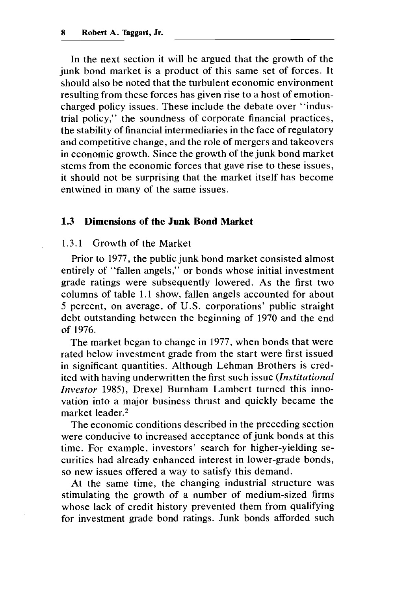In the next section it will be argued that the growth of the junk bond market is a product of this same set of forces. It should also be noted that the turbulent economic environment resulting from these forces has given rise to a host of emotioncharged policy issues. These include the debate over "industrial policy," the soundness of corporate financial practices , the stability of financial intermediaries in the face of regulatory and competitive change, and the role of mergers and takeovers in economic growth. Since the growth of the junk bond market stems from the economic forces that gave rise to these issues, it should not be surprising that the market itself has become entwined in many of the same issues.

#### **1.3 Dimensions of the Junk Bond Market**

#### 1.3.1 Growth of the Market

Prior to 1977, the public junk bond market consisted almost entirely of "fallen angels," or bonds whose initial investment grade ratings were subsequently lowered. **As** the first two columns of table 1.1 show, fallen angels accounted for about *5* percent, on average, of **U.S.** corporations' public straight debt outstanding between the beginning of 1970 and the end of 1976.

The market began to change in 1977, when bonds that were rated below investment grade from the start were first issued in significant quantities. Although Lehman Brothers is credited with having underwritten the first such issue *(Institutional Investor* 1985), Drexel Burnham Lambert turned this innovation into a major business thrust and quickly became the market leader.2

The economic conditions described in the preceding section were conducive to increased acceptance of junk bonds at this time. For example, investors' search for higher-yielding securities had already enhanced interest in lower-grade bonds, so new issues offered a way to satisfy this demand.

At the same time, the changing industrial structure was stimulating the growth of a number of medium-sized firms whose lack of credit history prevented them from qualifying for investment grade bond ratings. Junk bonds afforded such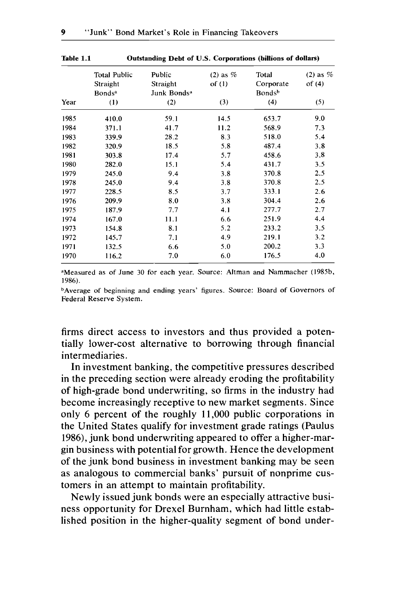|      | <b>Total Public</b><br>Straight | Public<br>Straight      | $(2)$ as $%$<br>of $(1)$ | Total<br>Corporate               | $(2)$ as $%$<br>of $(4)$ |
|------|---------------------------------|-------------------------|--------------------------|----------------------------------|--------------------------|
| Year | <b>Bonds</b> <sup>a</sup>       | Junk Bonds <sup>a</sup> | (3)                      | <b>Bonds</b> <sup>b</sup><br>(4) | (5)                      |
|      | (1)                             | (2)                     |                          |                                  |                          |
| 1985 | 410.0                           | 59.1                    | 14.5                     | 653.7                            | 9.0                      |
| 1984 | 371.1                           | 41.7                    | 11.2                     | 568.9                            | 7.3                      |
| 1983 | 339.9                           | 28.2                    | 8.3                      | 518.0                            | 5.4                      |
| 1982 | 320.9                           | 18.5                    | 5.8                      | 487.4                            | 3.8                      |
| 1981 | 303.8                           | 17.4                    | 5.7                      | 458.6                            | 3.8                      |
| 1980 | 282.0                           | 15.1                    | 5.4                      | 431.7                            | 3.5                      |
| 1979 | 245.0                           | 9.4                     | 3.8                      | 370.8                            | 2.5                      |
| 1978 | 245.0                           | 9.4                     | 3.8                      | 370.8                            | 2.5                      |
| 1977 | 228.5                           | 8.5                     | 3.7                      | 333.1                            | 2.6                      |
| 1976 | 209.9                           | 8.0                     | 3.8                      | 304.4                            | 2.6                      |
| 1975 | 187.9                           | 7.7                     | 4.1                      | 277.7                            | 2.7                      |
| 1974 | 167.0                           | 11.1                    | 6.6                      | 251.9                            | 4.4                      |
| 1973 | 154.8                           | 8.1                     | 5.2                      | 233.2                            | 3.5                      |
| 1972 | 145.7                           | 7.1                     | 4.9                      | 219.1                            | 3.2                      |
| 1971 | 132.5                           | 6.6                     | 5.0                      | 200.2                            | 3.3                      |
| 1970 | 116.2                           | 7.0                     | 6.0                      | 176.5                            | 4.0                      |

**Table 1.1 Outstanding Debt of U.S. Corporations (billions of dollars)** 

<sup>a</sup>Measured as of June 30 for each year. Source: Altman and Nammacher (1985b, 1986).

bAverage of beginning and ending years' figures. Source: Board of Governors of Federal Reserve System.

firms direct access to investors and thus provided a potentially lower-cost alternative to borrowing through financial intermediaries.

In investment banking, the competitive pressures described in the preceding section were already eroding the profitability of high-grade bond underwriting, so firms in the industry had become increasingly receptive to new market segments. Since only *6* percent **of** the roughly 11,000 public corporations in the United States qualify for investment grade ratings (Paulus **1986),** junk bond underwriting appeared to offer a higher-margin business with potential for growth. Hence the development of the junk bond business in investment banking may be seen as analogous to commercial banks' pursuit of nonprime customers in an attempt to maintain profitability.

Newly issued junk bonds were an especially attractive business opportunity for Drexel Burnham, which had little established position in the higher-quality segment of bond under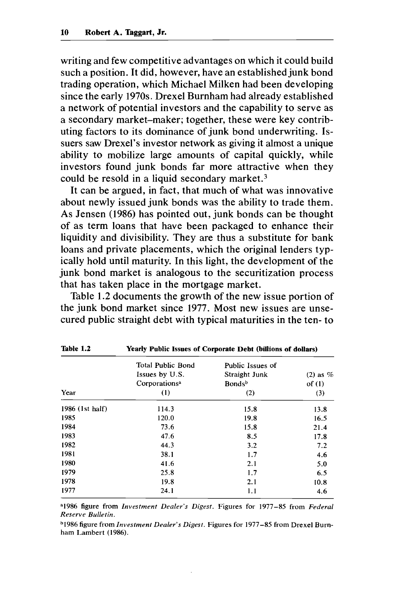writing and few competitive advantages on which it could build such a position. It did, however, have an established junk bond trading operation, which Michael Milken had been developing since the early 1970s. Drexel Burnham had already established a network of potential investors and the capability to serve as a secondary market-maker; together, these were key contributing factors to its dominance of junk bond underwriting. Issuers saw Drexel's investor network as giving it almost a unique ability to mobilize large amounts of capital quickly, while investors found junk bonds far more attractive when they could be resold in a liquid secondary market.3

It can be argued, in fact, that much of what was innovative about newly issued junk bonds was the ability to trade them. As Jensen (1986) has pointed out, junk bonds can be thought of as term loans that have been packaged to enhance their liquidity and divisibility. They are thus a substitute for bank loans and private placements, which the original lenders typically hold until maturity. In this light, the development of the junk bond market is analogous to the securitization process that has taken place in the mortgage market.

Table 1.2 documents the growth **of** the new issue portion of the junk bond market since 1977. Most new issues are unsecured public straight debt with typical maturities in the ten- to

| Table 1.2       | Yearly Public Issues of Corporate Debt (billions of dollars) |                           |              |  |  |
|-----------------|--------------------------------------------------------------|---------------------------|--------------|--|--|
|                 | Total Public Bond                                            | Public Issues of          |              |  |  |
|                 | Issues by U.S.                                               | Straight Junk             | $(2)$ as $%$ |  |  |
|                 | Corporations <sup>a</sup>                                    | <b>Bonds</b> <sup>b</sup> | of $(1)$     |  |  |
| Year            | (1)                                                          | (2)                       | (3)          |  |  |
| 1986 (1st half) | 114.3                                                        | 15.8                      | 13.8         |  |  |
| 1985            | 120.0                                                        | 19.8                      | 16.5         |  |  |
| 1984            | 73.6                                                         | 15.8                      | 21.4         |  |  |
| 1983            | 47.6                                                         | 8.5                       | 17.8         |  |  |
| 1982            | 44.3                                                         | 3.2                       | 7.2          |  |  |
| 1981            | 38.1                                                         | 1.7                       | 4.6          |  |  |
| 1980            | 41.6                                                         | 2.1                       | 5.0          |  |  |
| 1979            | 25.8                                                         | 1.7                       | 6.5          |  |  |
| 1978            | 19.8                                                         | 2.1                       | 10.8         |  |  |
| 1977            | 24.1                                                         | 1.1                       | 4.6          |  |  |

a1986 figure from *Investment Dealer's Digest.* Figures for 1977-85 from *Federal Reserve Bulletin.* 

b1986 figure from *Investment Dealer's Digest.* Figures for 1977-85 from Drexel Burnham Lambert (1986).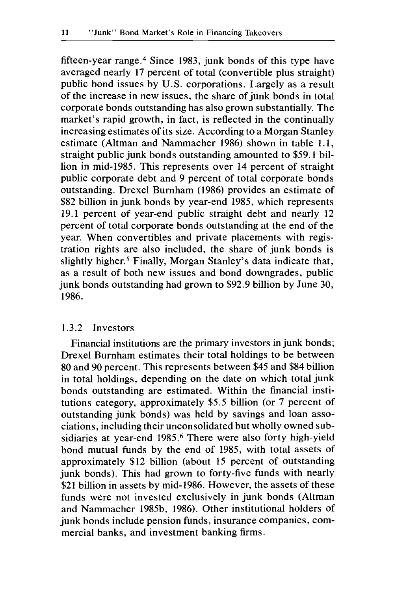fifteen-year range.4 Since 1983, junk bonds of this type have averaged nearly 17 percent of total (convertible plus straight) public bond issues by U.S. corporations. Largely as a result of the increase in new issues, the share of junk bonds in total corporate bonds outstanding has also grown substantially. The market's rapid growth, in fact, is reflected in the continually increasing estimates of its size. According to a Morgan Stanley estimate (Altman and Nammacher 1986) shown in table 1.1, straight public junk bonds outstanding amounted to \$59.1 billion in mid-1985. This represents over 14 percent of straight public corporate debt and 9 percent of total corporate bonds outstanding. Drexel Burnham (1986) provides an estimate of \$82 billion in junk bonds by year-end 1985, which represents 19.1 percent of year-end public straight debt and nearly 12 percent of total corporate bonds outstanding at the end of the year. When convertibles and private placements with registration rights are also included, the share of junk bonds is slightly higher.<sup>5</sup> Finally, Morgan Stanley's data indicate that, as a result of both new issues and bond downgrades, public junk bonds outstanding had grown to \$92.9 billion by June 30, 1986.

#### 1.3.2 Investors

Financial institutions are the primary investors in junk bonds; Drexel Burnham estimates their total holdings to be between 80 and 90 percent. This represents between \$45 and \$84 billion in total holdings, depending on the date on which total junk bonds outstanding are estimated. Within the financial institutions category, approximately \$5.5 billion (or 7 percent of outstanding junk bonds) was held by savings and loan associations, including their unconsolidated but wholly owned subsidiaries at year-end 1985.6 There were also forty high-yield bond mutual funds by the end of 1985, with total assets of approximately \$12 billion (about 15 percent of outstanding junk bonds). This had grown to forty-five funds with nearly \$21 billion in assets by mid-1986. However, the assets of these funds were not invested exclusively in junk bonds (Altman and Nammacher 1985b, 1986). Other institutional holders of junk bonds include pension funds, insurance companies, commercial banks, and investment banking firms.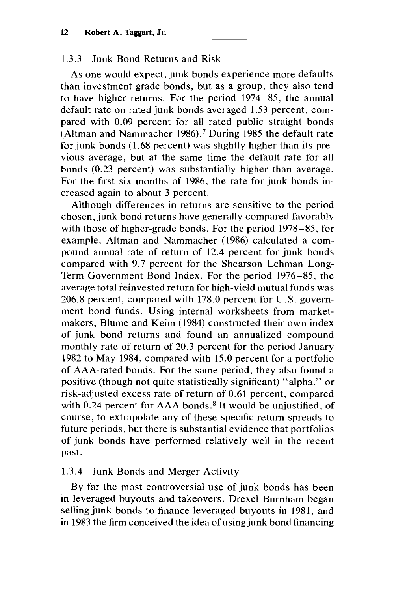### 1.3.3 Junk Bond Returns and Risk

As one would expect, junk bonds experience more defaults than investment grade bonds, but as a group, they also tend to have higher returns. For the period 1974-85, the annual default rate on rated junk bonds averaged 1.53 percent, compared with 0.09 percent for all rated public straight bonds (Altman and Nammacher 1986).' During 1985 the default rate for junk bonds (1.68 percent) was slightly higher than its previous average, but at the same time the default rate for all bonds (0.23 percent) was substantially higher than average. For the first six months of 1986, the rate for junk bonds increased again to about 3 percent.

Although differences in returns are sensitive to the period chosen, junk bond returns have generally compared favorably with those of higher-grade bonds. For the period 1978-85, for example, Altman and Nammacher (1986) calculated a compound annual rate of return of 12.4 percent for junk bonds compared with 9.7 percent for the Shearson Lehman Long-Term Government Bond Index. For the period 1976-85, the average total reinvested return for high-yield mutual funds was 206.8 percent, compared with 178.0 percent for U.S. government bond funds. Using internal worksheets from marketmakers, Blume and Keim (1984) constructed their own index of junk bond returns and found an annualized compound monthly rate of return of 20.3 percent for the period January 1982 to May 1984, compared with 15.0 percent for a portfolio of AAA-rated bonds. For the same period, they also found a positive (though not quite statistically significant) "alpha," or risk-adjusted excess rate of return of 0.61 percent, compared with 0.24 percent for AAA bonds. $8$  It would be unjustified, of course, to extrapolate any of these specific return spreads to future periods, but there is substantial evidence that portfolios of junk bonds have performed relatively well in the recent past.

#### 1.3.4 Junk Bonds and Merger Activity

By far the most controversial use of junk bonds has been in leveraged buyouts and takeovers. Drexel Burnham began selling junk bonds to finance leveraged buyouts in 1981, and in 1983 the firm conceived the idea of using junk bond financing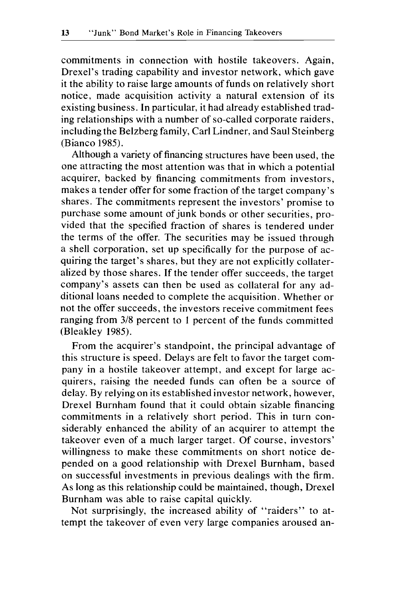commitments in connection with hostile takeovers. Again, Drexel's trading capability and investor network, which gave it the ability to raise large amounts of funds on relatively short notice, made acquisition activity a natural extension of its existing business. In particular, it had already established trading relationships with a number of so-called corporate raiders, including the Belzberg family, Carl Lindner, and Saul Steinberg (Bianco 1985).

Although a variety of financing structures have been used, the one attracting the most attention was that in which a potential acquirer, backed by financing commitments from investors, makes a tender offer for some fraction of the target company's shares. The commitments represent the investors' promise to purchase some amount of junk bonds or other securities, provided that the specified fraction of shares is tendered under the terms of the offer. The securities may be issued through a shell corporation, set up specifically for the purpose of acquiring the target's shares, but they are not explicitly collateralized by those shares. If the tender offer succeeds, the target company's assets can then be used as collateral for any additional loans needed to complete the acquisition. Whether or not the offer succeeds, the investors receive commitment fees ranging from **3/8** percent to I percent of the funds committed (Bleakley 1985).

From the acquirer's standpoint, the principal advantage of this structure is speed. Delays are felt to favor the target company in a hostile takeover attempt, and except for large acquirers, raising the needed funds can often be a source of delay. By relying on its established investor network, however, Drexel Burnham found that it could obtain sizable financing commitments in a relatively short period. This in turn considerably enhanced the ability of an acquirer to attempt the takeover even of a much larger target. Of course, investors' willingness to make these commitments on short notice depended on a good relationship with Drexel Burnham, based on successful investments in previous dealings with the firm. As long as this relationship could be maintained, though, Drexel Burnham was able to raise capital quickly.

Not surprisingly, the increased ability of "raiders" to attempt the takeover of even very large companies aroused an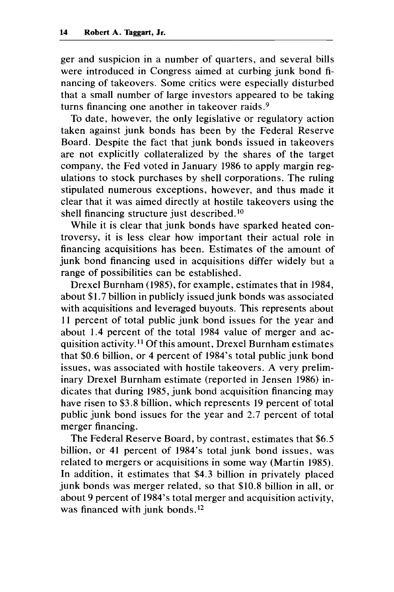ger and suspicion in a number of quarters, and several bills were introduced in Congress aimed at curbing junk bond financing of takeovers. Some critics were especially disturbed that a small number of large investors appeared to be taking turns financing one another in takeover raids.<sup>9</sup>

To date, however, the only legislative or regulatory action taken against junk bonds has been by the Federal Reserve Board. Despite the fact that junk bonds issued in takeovers are not explicitly collateralized by the shares of the target company, the Fed voted in January **1986** to apply margin regulations to stock purchases by shell corporations. The ruling stipulated numerous exceptions, however, and thus made it clear that it was aimed directly at hostile takeovers using the shell financing structure just described.<sup>10</sup>

While it is clear that junk bonds have sparked heated controversy, it is less clear how important their actual role in financing acquisitions has been. Estimates of the amount of junk bond financing used in acquisitions differ widely but a range of possibilities can be established.

Drexel Burnham **(1985),** for example, estimates that in **1984,**  about **\$1.7** billion in publicly issued junk bonds was associated with acquisitions and leveraged buyouts. This represents about **<sup>11</sup>**percent of total public junk bond issues for the year and about **1.4** percent of the total **1984** value of merger and acquisition activity.<sup>11</sup> Of this amount, Drexel Burnham estimates that **\$0.6** billion, or **4** percent of **1984's** total public junk bond issues, was associated with hostile takeovers. **A** very preliminary Drexel Burnham estimate (reported in Jensen **1986)** indicates that during **1985,** junk bond acquisition financing may have risen to **\$3.8** billion, which represents **19** percent of total public junk bond issues for the year and **2.7** percent of total merger financing.

The Federal Reserve Board, by contrast, estimates that **\$6.5**  billion, or **41** percent of **1984's** total junk bond issues, was related to mergers or acquisitions in some way (Martin **1985).**  In addition, it estimates that **\$4.3** billion in privately placed junk bonds was merger related, so that **\$10.8** billion in all, or about **9** percent of **1984's** total merger and acquisition activity, was financed with junk bonds.<sup>12</sup>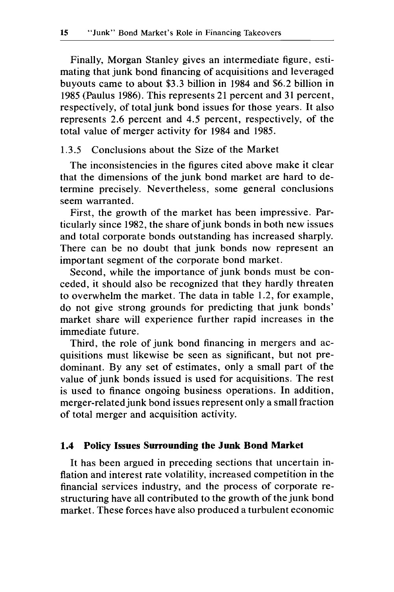Finally, Morgan Stanley gives an intermediate figure, estimating that junk bond financing of acquisitions and leveraged buyouts came to about \$3.3 billion in 1984 and \$6.2 billion in 1985 (Paulus 1986). This represents 21 percent and 31 percent, respectively, of total junk bond issues for those years. It also represents 2.6 percent and 4.5 percent, respectively, of the total value of merger activity for 1984 and 1985.

#### 1.3.5 Conclusions about the Size of the Market

The inconsistencies in the figures cited above make it clear that the dimensions of the junk bond market are hard to determine precisely. Nevertheless, some general conclusions seem warranted.

First, the growth of the market has been impressive. Particularly since 1982, the share of junk bonds in both new issues and total corporate bonds outstanding has increased sharply. There can be no doubt that junk bonds now represent an important segment of the corporate bond market.

Second, while the importance of junk bonds must be conceded, it should also be recognized that they hardly threaten to overwhelm the market. The data in table 1.2, for example, do not give strong grounds for predicting that junk bonds' market share will experience further rapid increases in the immediate future.

Third, the role of junk bond financing in mergers and acquisitions must likewise be seen as significant, but not predominant. By any set of estimates, only a small part of the value of junk bonds issued is used for acquisitions. The rest is used to finance ongoing business operations. In addition, merger-related junk bond issues represent only a small fraction of total merger and acquisition activity.

#### **1.4 Policy Issues Surrounding the Junk Bond Market**

It has been argued in preceding sections that uncertain inflation and interest rate volatility, increased competition in the financial services industry, and the process of corporate restructuring have all contributed to the growth of the junk bond market. These forces have also produced a turbulent economic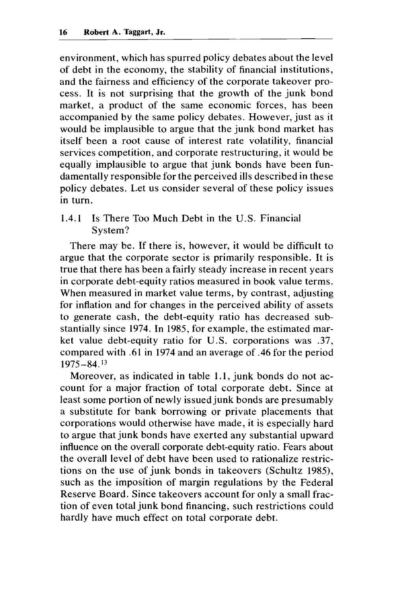environment, which has spurred policy debates about the level of debt in the economy, the stability of financial institutions, and the fairness and efficiency of the corporate takeover process. It is not surprising that the growth of the junk bond market, a product of the same economic forces, has been accompanied by the same policy debates. However, just as it would be implausible to argue that the junk bond market has itself been a root cause of interest rate volatility, financial services competition, and corporate restructuring, it would be equally implausible to argue that junk bonds have been fundamentally responsible for the perceived ills described in these policy debates. Let us consider several of these policy issues in turn.

# 1.4.1 Is There Too Much Debt in the **U.S.** Financial System?

There may be. If there is, however, it would be difficult to argue that the corporate sector is primarily responsible. It is true that there has been a fairly steady increase in recent years in corporate debt-equity ratios measured in book value terms. When measured in market value terms, by contrast, adjusting for inflation and for changes in the perceived ability of assets to generate cash, the debt-equity ratio has decreased substantially since 1974. In 1985, for example, the estimated market value debt-equity ratio for **U.S.** corporations was .37, compared with .61 in 1974 and an average of .46 for the period 1975-84. **l3** 

Moreover, as indicated in table 1.1, junk bonds do not account for a major fraction of total corporate debt. Since at least some portion of newly issued junk bonds are presumably a substitute for bank borrowing or private placements that corporations would otherwise have made, it is especially hard to argue that junk bonds have exerted any substantial upward influence on the overall corporate debt-equity ratio. Fears about the overall level of debt have been used to rationalize restrictions on the use of junk bonds in takeovers (Schultz **1985),**  such as the imposition of margin regulations by the Federal Reserve Board. Since takeovers account for only a small fraction of even total junk bond financing, such restrictions could hardly have much effect on total corporate debt.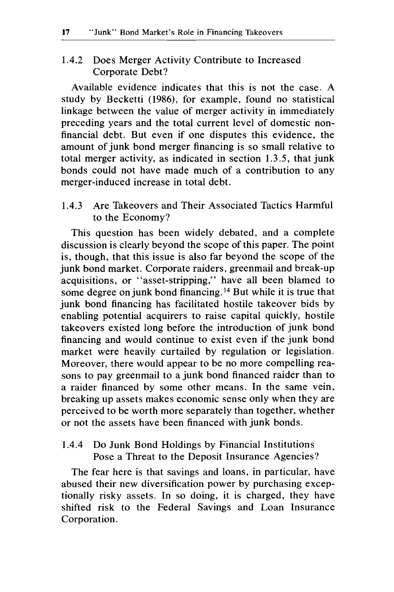# **1.4.2** Does Merger Activity Contribute to Increased Corporate Debt?

Available evidence indicates that this is not the case. A study by Becketti **(1986),** for example, found no statistical linkage between the value of merger activity in immediately preceding years and the total current level of domestic nonfinancial debt. But even if one disputes this evidence, the amount of junk bond merger financing is so small relative to total merger activity, as indicated in section **1.3.5,** that junk bonds could not have made much of a contribution to any merger-induced increase in total debt.

**1.4.3** Are Takeovers and Their Associated Tactics Harmful to the Economy?

This question has been widely debated, and a complete discussion is clearly beyond the scope of this paper. The point is, though, that this issue is also far beyond the scope of the junk bond market. Corporate raiders, greenmail and break-up acquisitions, or "asset-stripping," have all been blamed to some degree on junk bond financing. **l4** But while it is true that junk bond financing has facilitated hostile takeover bids by enabling potential acquirers to raise capital quickly, hostile takeovers existed long before the introduction of junk bond financing and would continue to exist even if the junk bond market were heavily curtailed by regulation or legislation. Moreover, there would appear to be no more compelling reasons to pay greenmail to a junk bond financed raider than to a raider financed by some other means. In the same vein, breaking up assets makes economic sense only when they are perceived to be worth more separately than together, whether or not the assets have been financed with junk bonds.

# **1.4.4** Do Junk Bond Holdings by Financial Institutions Pose a Threat to the Deposit Insurance Agencies?

The fear here is that savings and loans, in particular, have abused their new diversification power by purchasing exceptionally risky assets. In so doing, it is charged, they have shifted risk to the Federal Savings and Loan Insurance Corporation.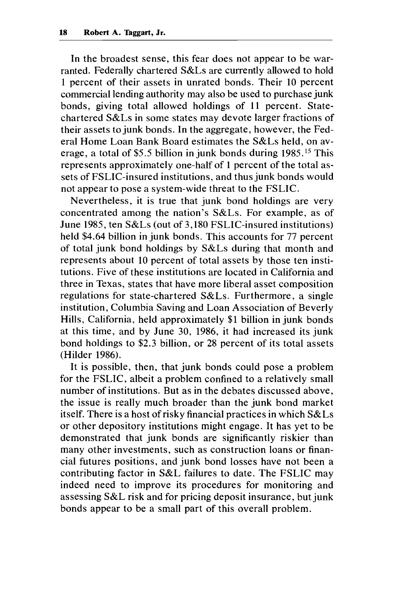In the broadest sense, this fear does not appear to be warranted. Federally chartered S&Ls are currently allowed to hold 1 percent of their assets in unrated bonds. Their 10 percent commercial lending authority may also be used to purchase junk bonds, giving total allowed holdings of 11 percent. Statechartered **S&Ls** in some states may devote larger fractions of their assets to junk bonds. In the aggregate, however, the Federal Home Loan Bank Board estimates the S&Ls held, on average, a total of *\$5.5* billion in junk bonds during 1985.15 This represents approximately one-half of 1 percent of the total assets of FSLIC-insured institutions, and thus junk bonds would not appear to pose a system-wide threat to the FSLIC.

Nevertheless, it is true that junk bond holdings are very concentrated among the nation's **S&Ls.** For example, as of June 1985, ten **S&Ls** (out of 3,180 FSLIC-insured institutions) held \$4.64 billion in junk bonds. This accounts for 77 percent of total junk bond holdings by S&Ls during that month and represents about 10 percent of total assets by those ten institutions. Five of these institutions are located in California and three in Texas, states that have more liberal asset composition regulations for state-chartered S&Ls. Furthermore, a single institution, Columbia Saving and Loan Association of Beverly Hills, California, held approximately \$1 billion in junk bonds at this time, and by June 30, 1986, it had increased its junk bond holdings to \$2.3 billion, or 28 percent of its total assets (Hilder 1986).

It is possible, then, that junk bonds could pose a problem for the FSLIC, albeit a problem confined to a relatively small number of institutions. But as in the debates discussed above, the issue is really much broader than the junk bond market itself. There is a host of risky financial practices in which S&Ls or other depository institutions might engage. It has yet to be demonstrated that junk bonds are significantly riskier than many other investments, such as construction loans or financial futures positions, and junk bond losses have not been a contributing factor in **S&L** failures to date. The FSLIC may indeed need to improve its procedures for monitoring and assessing S&L risk and for pricing deposit insurance, but junk bonds appear to be a small part of this overall problem.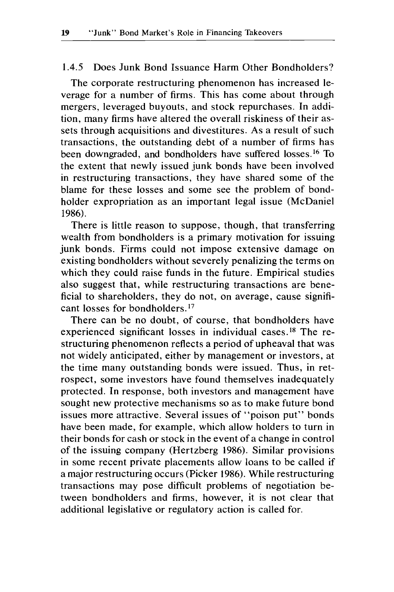## **1.4.5** Does Junk Bond Issuance Harm Other Bondholders?

The corporate restructuring phenomenon has increased leverage for a number of firms. This has come about through mergers, leveraged buyouts, and stock repurchases. In addition, many firms have altered the overall riskiness of their assets through acquisitions and divestitures. **As** a result of such transactions, the outstanding debt of a number of firms has been downgraded, and bondholders have suffered losses. **l6** To the extent that newly issued junk bonds have been involved in restructuring transactions, they have shared some of the blame for these losses and some see the problem of bondholder expropriation as an important legal issue (McDaniel **1986).** 

There is little reason to suppose, though, that transferring wealth from bondholders is a primary motivation for issuing junk bonds. Firms could not impose extensive damage on existing bondholders without severely penalizing the terms on which they could raise funds in the future. Empirical studies also suggest that, while restructuring transactions are beneficial to shareholders, they do not, on average, cause significant losses for bondholders.<sup>17</sup>

There can be no doubt, of course, that bondholders have experienced significant losses in individual cases. **l8** The restructuring phenomenon reflects a period of upheaval that was not widely anticipated, either by management or investors, at the time many outstanding bonds were issued. Thus, in retrospect, some investors have found themselves inadequately protected. In response, both investors and management have sought new protective mechanisms so as to make future bond issues more attractive. Several issues of "poison put" bonds have been made, for example, which allow holders to turn in their bonds for cash or stock in the event of a change in control of the issuing company (Hertzberg **1986).** Similar provisions in some recent private placements allow loans to be called if a major restructuring occurs (Picker **1986).** While restructuring transactions may pose difficult problems of negotiation between bondholders and firms, however, it is not clear that additional legislative or regulatory action is called for.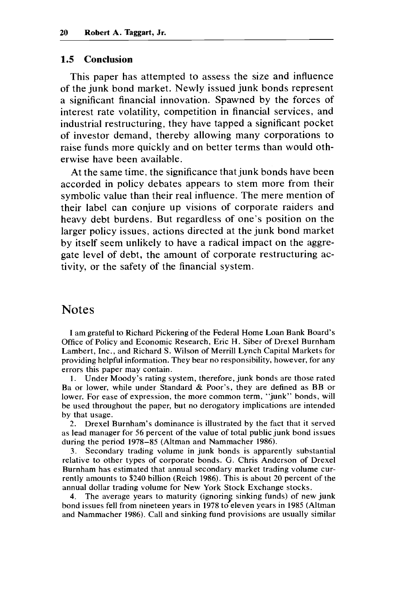#### **1.5 Conclusion**

This paper has attempted to assess the size and influence of the junk bond market. Newly issued junk bonds represent a significant financial innovation. Spawned by the forces of interest rate volatility, competition in financial services, and industrial restructuring, they have tapped a significant pocket of investor demand, thereby allowing many corporations to raise funds more quickly and on better terms than would otherwise have been available.

At the same time, the significance that junk bonds have been accorded in policy debates appears to stem more from their symbolic value than their real influence. The mere mention of their label can conjure up visions of corporate raiders and heavy debt burdens. But regardless of one's position on the larger policy issues, actions directed at the junk bond market by itself seem unlikely to have a radical impact on the aggregate level of debt, the amount of corporate restructuring activity, or the safety of the financial system.

# **Notes**

I am grateful to Richard Pickering of the Federal Home Loan Bank Board's Office of Policy and Economic Research, Eric H. Siber of Drexel Burnham Lambert, Inc., and Richard S. Wilson of Merrill Lynch Capital Markets for providing helpful information. They bear no responsibility, however, for any errors this paper may contain.

Under Moody's rating system, therefore, junk bonds are those rated Ba or lower, while under Standard & Poor's, they are defined as BB or lower. For ease of expression, the more common term, "junk" bonds, will be used throughout the paper, but no derogatory implications are intended by that usage. 1.

2. Drexel Burnham's dominance is illustrated by the fact that it served as lead manager for 56 percent of the value of total public junk bond issues during the period 1978-85 (Altman and Nammacher 1986).

Secondary trading volume in junk bonds is apparently substantial **3.**  relative to other types of corporate bonds. G. Chris Anderson of Drexel Burnham has estimated that annual secondary market trading volume currently amounts to \$240 billion (Reich 1986). This is about 20 percent of the annual dollar trading volume for New York Stock Exchange stocks.

The average years to maturity (ignoring sinking funds) of new junk 4. bond issues fell from nineteen years in 1978 to eleven years in 1985 (Altman and Nammacher 1986). Call and sinking fund provisions are usually similar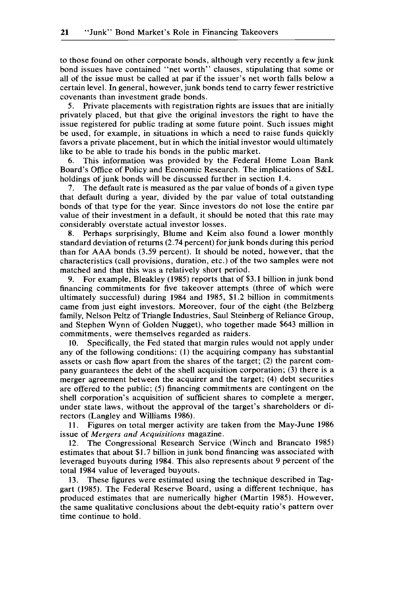to those found on other corporate bonds, although very recently a few junk bond issues have contained "net worth" clauses, stipulating that some or all of the issue must be called at par if the issuer's net worth falls below a certain level. In general, however, junk bonds tend to carry fewer restrictive covenants than investment grade bonds.

Private placements with registration rights are issues that are initially *5.*  privately placed, but that give the original investors the right to have the issue registered for public trading at some future point. Such issues might be used, for example, in situations in which a need to raise funds quickly favors a private placement, but in which the initial investor would ultimately like to be able to trade his bonds in the public market.

This information was provided by the Federal Home Loan Bank Board's Office of Policy and Economic Research. The implications of S&L holdings of junk bonds will be discussed further in section **1.4. 6.** 

The default rate is measured as the par value of bonds of a given type that default during a year, divided by the par value of total outstanding bonds of that type for the year. Since investors do not lose the entire par value of their investment in a default, it should be noted that this rate may considerably overstate actual investor losses. **7.** 

Perhaps surprisingly, Blume and Keim also found a lower monthly standard deviation of returns **(2.74** percent) for junk bonds during this period than for AAA bonds **(3.59** percent). It should be noted, however, that the characteristics (call provisions, duration, etc.) of the two samples were not matched and that this was a relatively short period. **8.** 

For example, Bleakley **(1985)** reports that of **\$3.1** billion in junk bond **9.**  financing commitments for five takeover attempts (three of which were ultimately successful) during **1984** and **1985, \$1.2** billion in commitments came from just eight investors. Moreover, four of the eight (the Belzberg family, Nelson Peltz of Triangle Industries, Saul Steinberg of Reliance Group, and Stephen Wynn of Golden Nugget), who together made **\$643** million in commitments, were themselves regarded as raiders.

Specifically, the Fed stated that margin rules would not apply under any of the following conditions: **(1)** the acquiring company has substantial assets or cash flow apart from the shares of the target; **(2)** the parent company guarantees the debt of the shell acquisition corporation; **(3)** there is a merger agreement between the acquirer and the target; **(4)** debt securities are offered to the public; (5) financing commitments are contingent on the shell corporation's acquisition of sufficient shares to complete a merger, under state laws, without the approval of the target's shareholders or directors (Langley and Williams **1986). 10.** 

Figures on total merger activity are taken from the May-June **1986**  issue of *Mergers* and *Acquisitions* magazine. **11.** 

The Congressional Research Service (Winch and Brancato **1985)**  estimates that about **\$1.7** billion in junk bond financing was associated with leveraged buyouts during **1984.** This also represents about **9** percent of the total **1984** value of leveraged buyouts. **12.** 

These figures were estimated using the technique described in Taggart **(1985).** The Federal Reserve Board, using a different technique, has produced estimates that are numerically higher (Martin **1985).** However, the same qualitative conclusions about the debt-equity ratio's pattern over time continue to hold. **13.**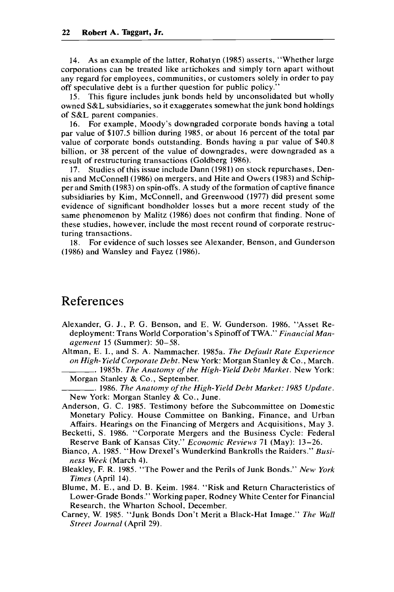14. As an example of the latter, Rohatyn (1985) asserts, "Whether large corporations can be treated like artichokes and simply torn apart without any regard for employees, communities, or customers solely in order to pay off speculative debt is a further question for public policy."

This figure includes junk bonds held by unconsolidated but wholly owned S&L subsidiaries, so it exaggerates somewhat the junk bond holdings of S&L parent companies. **15.** 

For example, Moody's downgraded corporate bonds having a total par value of \$107.5 billion during 1985, or about 16 percent of the total par value of corporate bonds outstanding. Bonds having a par value of \$40.8 billion, or 38 percent of the value of downgrades, were downgraded as a result of restructuring transactions (Goldberg 1986). 16.

Studies of this issue include Dann (1981) on stock repurchases, Dennis and McConnell (1986) on mergers, and Hite and Owers (1983) and Schipper and Smith (1983) on spin-offs. A study of the formation of captive finance subsidiaries by Kim, McConnell, and Greenwood (1977) did present some evidence of significant bondholder losses but a more recent study of the same phenomenon by Malitz (1986) does not confirm that finding. None of these studies, however, include the most recent round of corporate restructuring transactions. 17.

For evidence of such losses see Alexander, Benson, and Gunderson (1986) and Wansley and Fayez (1986). 18.

# References

Alexander, G. J., P. G. Benson, and E. W. Gunderson. 1986. "Asset Redeployment: Trans World Corporation's Spinoff of TWA." *Financial Management* **I5** (Summer): 50-58.

Altman, E. I., and S. A. Nammacher. 1985a. *The Default Rate Experience on High- Yield Corporate Debt.* New York: Morgan Stanley & Co., March.

-. 1985b. *The Anatomy of the High-Yield Debt Market.* New York: Morgan Stanley & Co., September.

~. 1986. *The Anatomy of the High-Yield Debt Market: 1985 Update.*  New York: Morgan Stanley & Co., June.

Anderson, G. C. 1985. Testimony before the Subcommittee on Domestic Monetary Policy. House Committee on Banking, Finance, and Urban Affairs. Hearings on the Financing of Mergers and Acquisitions, May 3.

Becketti, S. 1986. "Corporate Mergers and the Business Cycle: Federal Reserve Bank of Kansas City." *Economic Reviews* 71 (May): 13-26.

- Bianco, A. 1985. "How Drexel's Wunderkind Bankrolls the Raiders." *Business Week* (March 4).
- Bleakley, F. R. 1985. "The Power and the Perils of Junk Bonds." *New York Times* (April **14).**
- Blume, M. E., and D. B. Keim. 1984. "Risk and Return Characteristics of Lower-Grade Bonds." Working paper, Rodney White Center for Financial Research, the Wharton School, December.
- Carney, W. 1985. "Junk Bonds Don't Merit a Black-Hat Image." *The Wall Street Journal* (April 29).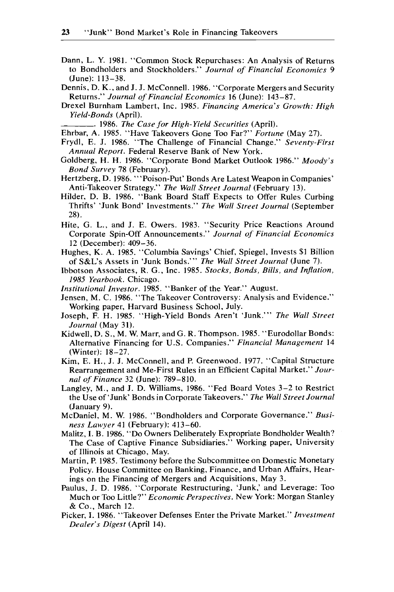Dam, L. Y. **1981.** "Common Stock Repurchases: An Analysis of Returns to Bondholders and Stockholders." *Journal of Financial Economics* **9**  (June): **113-38.** 

Dennis, D. K., and J. J. McConnell. **1986.** "Corporate Mergers and Security Returns." *Journal* of *Financial Economics* 16 (June): **143-87.** 

Drexel Burnham Lambert, Inc. **1985.** *Financing America's Growth: High Yield-Bonds* (April).

~. **1986.** *The Case for High-Yield Securities* (April).

- Ehrbar, A. **1985.** "Have Takeovers Gone Too Far?" *Fortune* (May **27).**
- Frydl, E. J. **1986.** "The Challenge of Financial Change." *Seventy-First Annual Report.* Federal Reserve Bank of New York.
- Goldberg, H. H. **1986.** "Corporate Bond Market Outlook **1986."** *Moody's Bond Survey* **78** (February).
- Hertzberg, D. 1986. "'Poison-Put' Bonds Are Latest Weapon in Companies' Anti-Takeover Strategy." *The Wall Street Journal* (February **13).**
- Hilder, D. B. **1986.** "Bank Board Staff Expects to Offer Rules Curbing Thrifts' 'Junk Bond' Investments." *The Wall Street Journal* (September **28).**
- Hite, G. L., and J. E. Owers. **1983.** "Security Price Reactions Around Corporate Spin-off Announcements." *Journal of Financial Economics*  12 (December): **409-36.**
- Hughes, K. A. **1985.** "Columbia Savings' Chief, Spiegel, Invests \$1 Billion of S&L's Assets in 'Junk Bonds."' *The Wall Street Journal* (June 7).
- Ibbotson Associates, R. G., Inc. **1985.** *Stocks, Bonds, Bills, and Inflation, 1985 Yearbook.* Chicago.
- *Institutional Investor.* **1985.** "Banker of the Year." August.
- Jensen, M. C. **1986.** "The Takeover Controversy: Analysis and Evidence." Working paper, Harvard Business School, July.
- Joseph, F. H. **1985.** "High-Yield Bonds Aren't 'Junk."' *The Wall Street Journal* (May **31).**
- Kidwell, D. S., M. W. Marr, and G. R. Thompson. **1985.** "Eurodollar Bonds: Alternative Financing for U.S. Companies." *Financial Management* **14**  (Winter): **18-27.**
- Kim, E. H., J. J. McConnell, and P. Greenwood. **1977.** "Capital Structure Rearrangement and Me-First Rules in an Efficient Capital Market." *Journal* of *Finance* **32** (June): **789-810.**
- Langley, M., and J. D. Williams, **1986.** "Fed Board Votes **3-2** to Restrict the Use of 'Junk' Bonds in Corporate Takeovers." *The Wall Street Journal*  (January **9).**
- McDaniel, M. W. **1986.** "Bondholders and Corporate Governance." *Business Lawyer* **41** (February): **413-60.**
- Malitz, I. B. **1986.** "Do Owners Deliberately Expropriate Bondholder Wealth? The Case of Captive Finance Subsidiaries." Working paper, University of Illinois at Chicago, May.
- Martin, P. **1985.** Testimony before the Subcommittee on Domestic Monetary Policy. House Committee on Banking, Finance, and Urban Affairs, Hearings on the Financing of Mergers and Acquisitions, May **3.**
- Paulus, J. D. **1986.** "Corporate Restructuring, 'Junk,' and Leverage: Too Much or Too Little?" *Economic Perspectives.* New York: Morgan Stanley & Co., March **12.**
- Picker, I. **1986.** "Takeover Defenses Enter the Private Market." *Investment Dealer's Digest* (April **14).**